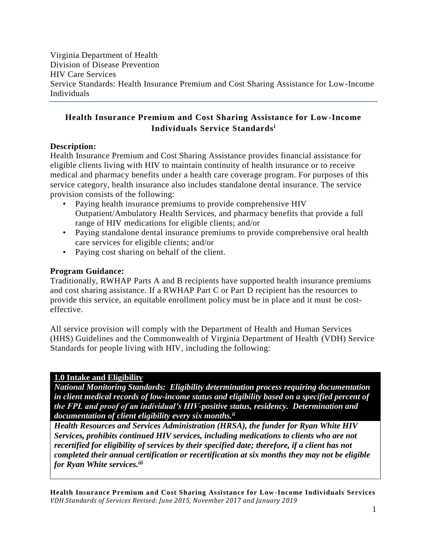Virginia Department of Health Division of Disease Prevention HIV Care Services Service Standards: Health Insurance Premium and Cost Sharing Assistance for Low-Income Individuals

# **Health Insurance Premium and Cost Sharing Assistance for Low-Income Individuals Service Standards<sup>i</sup>**

### **Description:**

Health Insurance Premium and Cost Sharing Assistance provides financial assistance for eligible clients living with HIV to maintain continuity of health insurance or to receive medical and pharmacy benefits under a health care coverage program. For purposes of this service category, health insurance also includes standalone dental insurance. The service provision consists of the following:

- Paying health insurance premiums to provide comprehensive HIV Outpatient/Ambulatory Health Services, and pharmacy benefits that provide a full range of HIV medications for eligible clients; and/or
- Paying standalone dental insurance premiums to provide comprehensive oral health care services for eligible clients; and/or
- Paying cost sharing on behalf of the client.

### **Program Guidance:**

Traditionally, RWHAP Parts A and B recipients have supported health insurance premiums and cost sharing assistance. If a RWHAP Part C or Part D recipient has the resources to provide this service, an equitable enrollment policy must be in place and it must be costeffective.

All service provision will comply with the Department of Health and Human Services (HHS) Guidelines and the Commonwealth of Virginia Department of Health (VDH) Service Standards for people living with HIV, including the following:

#### **1.0 Intake and Eligibility**

*National Monitoring Standards: Eligibility determination process requiring documentation in client medical records of low-income status and eligibility based on a specified percent of the FPL and proof of an individual's HIV-positive status, residency. Determination and documentation of client eligibility every six months. ii*

*Health Resources and Services Administration (HRSA), the funder for Ryan White HIV Services, prohibits continued HIV services, including medications to clients who are not recertified for eligibility of services by their specified date; therefore, if a client has not completed their annual certification or recertification at six months they may not be eligible for Ryan White services.iii*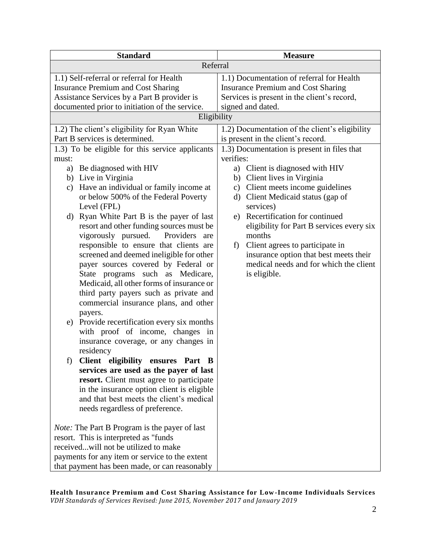| <b>Standard</b>                                                                                                                       | <b>Measure</b>                                                                                                                        |  |
|---------------------------------------------------------------------------------------------------------------------------------------|---------------------------------------------------------------------------------------------------------------------------------------|--|
| Referral                                                                                                                              |                                                                                                                                       |  |
| 1.1) Self-referral or referral for Health<br><b>Insurance Premium and Cost Sharing</b><br>Assistance Services by a Part B provider is | 1.1) Documentation of referral for Health<br><b>Insurance Premium and Cost Sharing</b><br>Services is present in the client's record, |  |
| documented prior to initiation of the service.                                                                                        | signed and dated.                                                                                                                     |  |
| Eligibility                                                                                                                           |                                                                                                                                       |  |
| 1.2) The client's eligibility for Ryan White                                                                                          | 1.2) Documentation of the client's eligibility                                                                                        |  |
| Part B services is determined.                                                                                                        | is present in the client's record.                                                                                                    |  |
| 1.3) To be eligible for this service applicants                                                                                       | 1.3) Documentation is present in files that<br>verifies:                                                                              |  |
| must:<br>Be diagnosed with HIV<br>a)                                                                                                  | a) Client is diagnosed with HIV                                                                                                       |  |
| b) Live in Virginia                                                                                                                   | b) Client lives in Virginia                                                                                                           |  |
| Have an individual or family income at<br>c)                                                                                          | Client meets income guidelines<br>$\mathbf{c})$                                                                                       |  |
| or below 500% of the Federal Poverty                                                                                                  | Client Medicaid status (gap of<br>$\rm d$                                                                                             |  |
| Level (FPL)                                                                                                                           | services)                                                                                                                             |  |
| d) Ryan White Part B is the payer of last                                                                                             | e) Recertification for continued                                                                                                      |  |
| resort and other funding sources must be                                                                                              | eligibility for Part B services every six                                                                                             |  |
| vigorously pursued.<br>Providers<br>are                                                                                               | months                                                                                                                                |  |
| responsible to ensure that clients are                                                                                                | Client agrees to participate in<br>f)                                                                                                 |  |
| screened and deemed ineligible for other                                                                                              | insurance option that best meets their                                                                                                |  |
| payer sources covered by Federal or                                                                                                   | medical needs and for which the client                                                                                                |  |
| State programs such as Medicare,                                                                                                      | is eligible.                                                                                                                          |  |
| Medicaid, all other forms of insurance or                                                                                             |                                                                                                                                       |  |
| third party payers such as private and                                                                                                |                                                                                                                                       |  |
| commercial insurance plans, and other                                                                                                 |                                                                                                                                       |  |
| payers.                                                                                                                               |                                                                                                                                       |  |
| Provide recertification every six months<br>e)                                                                                        |                                                                                                                                       |  |
| with proof of income, changes in                                                                                                      |                                                                                                                                       |  |
| insurance coverage, or any changes in                                                                                                 |                                                                                                                                       |  |
| residency<br>f) Client eligibility ensures Part B                                                                                     |                                                                                                                                       |  |
| services are used as the payer of last                                                                                                |                                                                                                                                       |  |
| resort. Client must agree to participate                                                                                              |                                                                                                                                       |  |
| in the insurance option client is eligible                                                                                            |                                                                                                                                       |  |
| and that best meets the client's medical                                                                                              |                                                                                                                                       |  |
| needs regardless of preference.                                                                                                       |                                                                                                                                       |  |
|                                                                                                                                       |                                                                                                                                       |  |
| <i>Note:</i> The Part B Program is the payer of last                                                                                  |                                                                                                                                       |  |
| resort. This is interpreted as "funds                                                                                                 |                                                                                                                                       |  |
| receivedwill not be utilized to make                                                                                                  |                                                                                                                                       |  |
| payments for any item or service to the extent                                                                                        |                                                                                                                                       |  |
| that payment has been made, or can reasonably                                                                                         |                                                                                                                                       |  |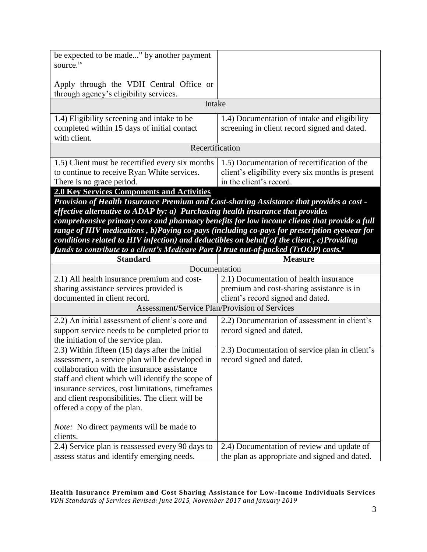| be expected to be made" by another payment<br>source. <sup>iv</sup>                                                                                                               |                                                  |  |
|-----------------------------------------------------------------------------------------------------------------------------------------------------------------------------------|--------------------------------------------------|--|
|                                                                                                                                                                                   |                                                  |  |
| Apply through the VDH Central Office or<br>through agency's eligibility services.                                                                                                 |                                                  |  |
| Intake                                                                                                                                                                            |                                                  |  |
| 1.4) Eligibility screening and intake to be                                                                                                                                       | 1.4) Documentation of intake and eligibility     |  |
| completed within 15 days of initial contact                                                                                                                                       | screening in client record signed and dated.     |  |
| with client.                                                                                                                                                                      |                                                  |  |
| Recertification                                                                                                                                                                   |                                                  |  |
| 1.5) Client must be recertified every six months                                                                                                                                  | 1.5) Documentation of recertification of the     |  |
| to continue to receive Ryan White services.                                                                                                                                       | client's eligibility every six months is present |  |
| There is no grace period.                                                                                                                                                         | in the client's record.                          |  |
| <b>2.0 Key Services Components and Activities</b>                                                                                                                                 |                                                  |  |
| Provision of Health Insurance Premium and Cost-sharing Assistance that provides a cost -                                                                                          |                                                  |  |
| effective alternative to ADAP by: a) Purchasing health insurance that provides                                                                                                    |                                                  |  |
| comprehensive primary care and pharmacy benefits for low income clients that provide a full                                                                                       |                                                  |  |
| range of HIV medications, b)Paying co-pays (including co-pays for prescription eyewear for                                                                                        |                                                  |  |
| conditions related to HIV infection) and deductibles on behalf of the client, c)Providing<br>funds to contribute to a client's Medicare Part D true out-of-pocked (TrOOP) costs." |                                                  |  |
|                                                                                                                                                                                   |                                                  |  |
|                                                                                                                                                                                   |                                                  |  |
| <b>Standard</b>                                                                                                                                                                   | <b>Measure</b>                                   |  |
| Documentation                                                                                                                                                                     | 2.1) Documentation of health insurance           |  |
| 2.1) All health insurance premium and cost-<br>sharing assistance services provided is                                                                                            | premium and cost-sharing assistance is in        |  |
| documented in client record.                                                                                                                                                      | client's record signed and dated.                |  |
| Assessment/Service Plan/Provision of Services                                                                                                                                     |                                                  |  |
| 2.2) An initial assessment of client's core and                                                                                                                                   | 2.2) Documentation of assessment in client's     |  |
| support service needs to be completed prior to                                                                                                                                    | record signed and dated.                         |  |
| the initiation of the service plan.                                                                                                                                               |                                                  |  |
| 2.3) Within fifteen (15) days after the initial                                                                                                                                   | 2.3) Documentation of service plan in client's   |  |
| assessment, a service plan will be developed in                                                                                                                                   | record signed and dated.                         |  |
| collaboration with the insurance assistance                                                                                                                                       |                                                  |  |
| staff and client which will identify the scope of                                                                                                                                 |                                                  |  |
| insurance services, cost limitations, timeframes                                                                                                                                  |                                                  |  |
| and client responsibilities. The client will be                                                                                                                                   |                                                  |  |
| offered a copy of the plan.                                                                                                                                                       |                                                  |  |
|                                                                                                                                                                                   |                                                  |  |
| <i>Note:</i> No direct payments will be made to<br>clients.                                                                                                                       |                                                  |  |
| 2.4) Service plan is reassessed every 90 days to                                                                                                                                  | 2.4) Documentation of review and update of       |  |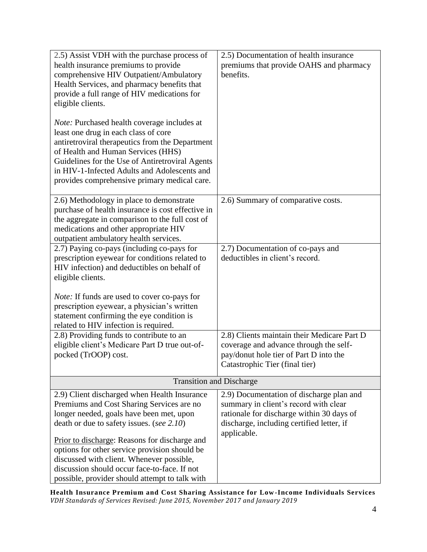| 2.5) Assist VDH with the purchase process of<br>health insurance premiums to provide<br>comprehensive HIV Outpatient/Ambulatory<br>Health Services, and pharmacy benefits that<br>provide a full range of HIV medications for<br>eligible clients.<br>Note: Purchased health coverage includes at<br>least one drug in each class of core<br>antiretroviral therapeutics from the Department<br>of Health and Human Services (HHS)<br>Guidelines for the Use of Antiretroviral Agents<br>in HIV-1-Infected Adults and Adolescents and<br>provides comprehensive primary medical care. | 2.5) Documentation of health insurance<br>premiums that provide OAHS and pharmacy<br>benefits.                                                                                             |  |
|---------------------------------------------------------------------------------------------------------------------------------------------------------------------------------------------------------------------------------------------------------------------------------------------------------------------------------------------------------------------------------------------------------------------------------------------------------------------------------------------------------------------------------------------------------------------------------------|--------------------------------------------------------------------------------------------------------------------------------------------------------------------------------------------|--|
| 2.6) Methodology in place to demonstrate<br>purchase of health insurance is cost effective in<br>the aggregate in comparison to the full cost of<br>medications and other appropriate HIV<br>outpatient ambulatory health services.                                                                                                                                                                                                                                                                                                                                                   | 2.6) Summary of comparative costs.                                                                                                                                                         |  |
| 2.7) Paying co-pays (including co-pays for<br>prescription eyewear for conditions related to<br>HIV infection) and deductibles on behalf of<br>eligible clients.<br><i>Note:</i> If funds are used to cover co-pays for                                                                                                                                                                                                                                                                                                                                                               | 2.7) Documentation of co-pays and<br>deductibles in client's record.                                                                                                                       |  |
| prescription eyewear, a physician's written<br>statement confirming the eye condition is<br>related to HIV infection is required.                                                                                                                                                                                                                                                                                                                                                                                                                                                     |                                                                                                                                                                                            |  |
| 2.8) Providing funds to contribute to an<br>eligible client's Medicare Part D true out-of-<br>pocked (TrOOP) cost.                                                                                                                                                                                                                                                                                                                                                                                                                                                                    | 2.8) Clients maintain their Medicare Part D<br>coverage and advance through the self-<br>pay/donut hole tier of Part D into the<br>Catastrophic Tier (final tier)                          |  |
| <b>Transition and Discharge</b>                                                                                                                                                                                                                                                                                                                                                                                                                                                                                                                                                       |                                                                                                                                                                                            |  |
| 2.9) Client discharged when Health Insurance<br>Premiums and Cost Sharing Services are no<br>longer needed, goals have been met, upon<br>death or due to safety issues. (see 2.10)<br>Prior to discharge: Reasons for discharge and<br>options for other service provision should be<br>discussed with client. Whenever possible,<br>discussion should occur face-to-face. If not<br>possible, provider should attempt to talk with                                                                                                                                                   | 2.9) Documentation of discharge plan and<br>summary in client's record with clear<br>rationale for discharge within 30 days of<br>discharge, including certified letter, if<br>applicable. |  |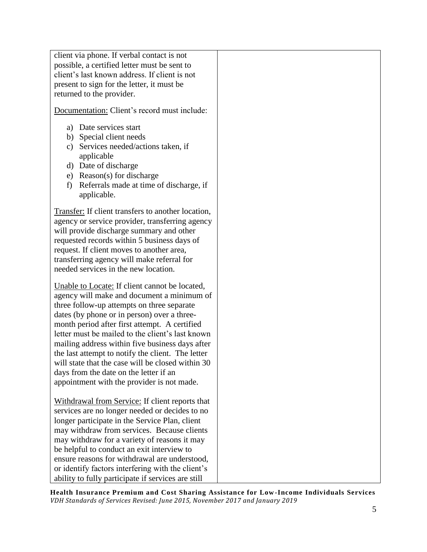client via phone. If verbal contact is not possible, a certified letter must be sent to client's last known address. If client is not present to sign for the letter, it must be returned to the provider.

Documentation: Client's record must include:

- a) Date services start
- b) Special client needs
- c) Services needed/actions taken, if applicable
- d) Date of discharge
- e) Reason(s) for discharge
- f) Referrals made at time of discharge, if applicable.

Transfer: If client transfers to another location, agency or service provider, transferring agency will provide discharge summary and other requested records within 5 business days of request. If client moves to another area, transferring agency will make referral for needed services in the new location.

Unable to Locate: If client cannot be located, agency will make and document a minimum of three follow-up attempts on three separate dates (by phone or in person) over a threemonth period after first attempt. A certified letter must be mailed to the client's last known mailing address within five business days after the last attempt to notify the client. The letter will state that the case will be closed within 30 days from the date on the letter if an appointment with the provider is not made.

Withdrawal from Service: If client reports that services are no longer needed or decides to no longer participate in the Service Plan, client may withdraw from services. Because clients may withdraw for a variety of reasons it may be helpful to conduct an exit interview to ensure reasons for withdrawal are understood, or identify factors interfering with the client's ability to fully participate if services are still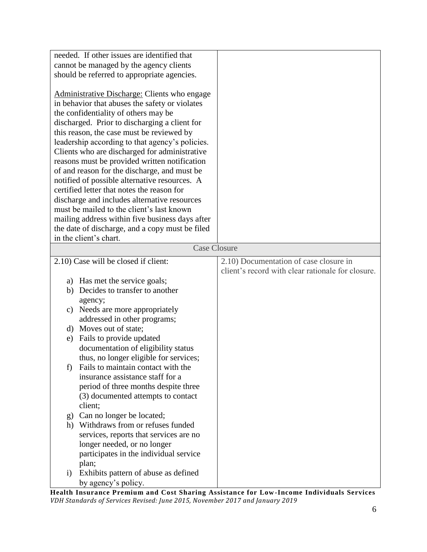| needed. If other issues are identified that                                                                                                                                                                                                                                                                                                                                                                                                                                                                                                                                                                                                                                                                                                 |                                                   |
|---------------------------------------------------------------------------------------------------------------------------------------------------------------------------------------------------------------------------------------------------------------------------------------------------------------------------------------------------------------------------------------------------------------------------------------------------------------------------------------------------------------------------------------------------------------------------------------------------------------------------------------------------------------------------------------------------------------------------------------------|---------------------------------------------------|
| cannot be managed by the agency clients                                                                                                                                                                                                                                                                                                                                                                                                                                                                                                                                                                                                                                                                                                     |                                                   |
| should be referred to appropriate agencies.                                                                                                                                                                                                                                                                                                                                                                                                                                                                                                                                                                                                                                                                                                 |                                                   |
| Administrative Discharge: Clients who engage<br>in behavior that abuses the safety or violates<br>the confidentiality of others may be<br>discharged. Prior to discharging a client for<br>this reason, the case must be reviewed by<br>leadership according to that agency's policies.<br>Clients who are discharged for administrative<br>reasons must be provided written notification<br>of and reason for the discharge, and must be<br>notified of possible alternative resources. A<br>certified letter that notes the reason for<br>discharge and includes alternative resources<br>must be mailed to the client's last known<br>mailing address within five business days after<br>the date of discharge, and a copy must be filed |                                                   |
| in the client's chart.                                                                                                                                                                                                                                                                                                                                                                                                                                                                                                                                                                                                                                                                                                                      |                                                   |
| <b>Case Closure</b>                                                                                                                                                                                                                                                                                                                                                                                                                                                                                                                                                                                                                                                                                                                         |                                                   |
|                                                                                                                                                                                                                                                                                                                                                                                                                                                                                                                                                                                                                                                                                                                                             |                                                   |
| 2.10) Case will be closed if client:                                                                                                                                                                                                                                                                                                                                                                                                                                                                                                                                                                                                                                                                                                        | 2.10) Documentation of case closure in            |
|                                                                                                                                                                                                                                                                                                                                                                                                                                                                                                                                                                                                                                                                                                                                             |                                                   |
|                                                                                                                                                                                                                                                                                                                                                                                                                                                                                                                                                                                                                                                                                                                                             | client's record with clear rationale for closure. |
| a) Has met the service goals;                                                                                                                                                                                                                                                                                                                                                                                                                                                                                                                                                                                                                                                                                                               |                                                   |
| b) Decides to transfer to another                                                                                                                                                                                                                                                                                                                                                                                                                                                                                                                                                                                                                                                                                                           |                                                   |
| agency;                                                                                                                                                                                                                                                                                                                                                                                                                                                                                                                                                                                                                                                                                                                                     |                                                   |
| Needs are more appropriately<br>c)                                                                                                                                                                                                                                                                                                                                                                                                                                                                                                                                                                                                                                                                                                          |                                                   |
| addressed in other programs;                                                                                                                                                                                                                                                                                                                                                                                                                                                                                                                                                                                                                                                                                                                |                                                   |
| Moves out of state;<br>d)                                                                                                                                                                                                                                                                                                                                                                                                                                                                                                                                                                                                                                                                                                                   |                                                   |
| Fails to provide updated<br>e)                                                                                                                                                                                                                                                                                                                                                                                                                                                                                                                                                                                                                                                                                                              |                                                   |
| documentation of eligibility status                                                                                                                                                                                                                                                                                                                                                                                                                                                                                                                                                                                                                                                                                                         |                                                   |
| thus, no longer eligible for services;                                                                                                                                                                                                                                                                                                                                                                                                                                                                                                                                                                                                                                                                                                      |                                                   |
| f)<br>Fails to maintain contact with the                                                                                                                                                                                                                                                                                                                                                                                                                                                                                                                                                                                                                                                                                                    |                                                   |
| insurance assistance staff for a                                                                                                                                                                                                                                                                                                                                                                                                                                                                                                                                                                                                                                                                                                            |                                                   |
| period of three months despite three                                                                                                                                                                                                                                                                                                                                                                                                                                                                                                                                                                                                                                                                                                        |                                                   |
| (3) documented attempts to contact                                                                                                                                                                                                                                                                                                                                                                                                                                                                                                                                                                                                                                                                                                          |                                                   |
| client;                                                                                                                                                                                                                                                                                                                                                                                                                                                                                                                                                                                                                                                                                                                                     |                                                   |
| g) Can no longer be located;                                                                                                                                                                                                                                                                                                                                                                                                                                                                                                                                                                                                                                                                                                                |                                                   |
| Withdraws from or refuses funded<br>h)                                                                                                                                                                                                                                                                                                                                                                                                                                                                                                                                                                                                                                                                                                      |                                                   |
| services, reports that services are no                                                                                                                                                                                                                                                                                                                                                                                                                                                                                                                                                                                                                                                                                                      |                                                   |
| longer needed, or no longer                                                                                                                                                                                                                                                                                                                                                                                                                                                                                                                                                                                                                                                                                                                 |                                                   |
| participates in the individual service                                                                                                                                                                                                                                                                                                                                                                                                                                                                                                                                                                                                                                                                                                      |                                                   |
| plan;                                                                                                                                                                                                                                                                                                                                                                                                                                                                                                                                                                                                                                                                                                                                       |                                                   |
| Exhibits pattern of abuse as defined<br>$\rm i)$<br>by agency's policy.                                                                                                                                                                                                                                                                                                                                                                                                                                                                                                                                                                                                                                                                     |                                                   |

**Health Insurance Premium and Cost Sharing Assistance for Low -Income Individuals Services** *VDH Standards of Services Revised: June 2015, November 2017 and January 2019*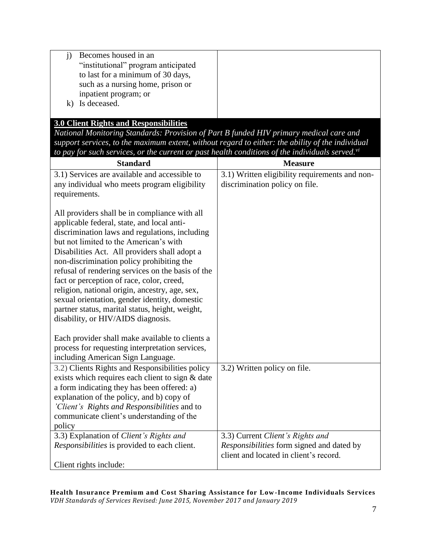| Becomes housed in an                |  |
|-------------------------------------|--|
| "institutional" program anticipated |  |
| to last for a minimum of 30 days,   |  |
| such as a nursing home, prison or   |  |
| inpatient program; or               |  |
| Is deceased.                        |  |
|                                     |  |

## **3.0 Client Rights and Responsibilities**

*National Monitoring Standards: Provision of Part B funded HIV primary medical care and support services, to the maximum extent, without regard to either: the ability of the individual to pay for such services, or the current or past health conditions of the individuals served.vi*

| <b>Standard</b>                                                                                                                                                                                                                                                                                                                                                                                                                                                                                                                                                                     | <b>Measure</b>                                                                |
|-------------------------------------------------------------------------------------------------------------------------------------------------------------------------------------------------------------------------------------------------------------------------------------------------------------------------------------------------------------------------------------------------------------------------------------------------------------------------------------------------------------------------------------------------------------------------------------|-------------------------------------------------------------------------------|
| 3.1) Services are available and accessible to                                                                                                                                                                                                                                                                                                                                                                                                                                                                                                                                       | 3.1) Written eligibility requirements and non-                                |
| any individual who meets program eligibility                                                                                                                                                                                                                                                                                                                                                                                                                                                                                                                                        | discrimination policy on file.                                                |
| requirements.                                                                                                                                                                                                                                                                                                                                                                                                                                                                                                                                                                       |                                                                               |
| All providers shall be in compliance with all<br>applicable federal, state, and local anti-<br>discrimination laws and regulations, including<br>but not limited to the American's with<br>Disabilities Act. All providers shall adopt a<br>non-discrimination policy prohibiting the<br>refusal of rendering services on the basis of the<br>fact or perception of race, color, creed,<br>religion, national origin, ancestry, age, sex,<br>sexual orientation, gender identity, domestic<br>partner status, marital status, height, weight,<br>disability, or HIV/AIDS diagnosis. |                                                                               |
| Each provider shall make available to clients a                                                                                                                                                                                                                                                                                                                                                                                                                                                                                                                                     |                                                                               |
| process for requesting interpretation services,                                                                                                                                                                                                                                                                                                                                                                                                                                                                                                                                     |                                                                               |
| including American Sign Language.                                                                                                                                                                                                                                                                                                                                                                                                                                                                                                                                                   |                                                                               |
| 3.2) Clients Rights and Responsibilities policy                                                                                                                                                                                                                                                                                                                                                                                                                                                                                                                                     | 3.2) Written policy on file.                                                  |
| exists which requires each client to sign & date                                                                                                                                                                                                                                                                                                                                                                                                                                                                                                                                    |                                                                               |
| a form indicating they has been offered: a)                                                                                                                                                                                                                                                                                                                                                                                                                                                                                                                                         |                                                                               |
| explanation of the policy, and b) copy of                                                                                                                                                                                                                                                                                                                                                                                                                                                                                                                                           |                                                                               |
| 'Client's Rights and Responsibilities and to                                                                                                                                                                                                                                                                                                                                                                                                                                                                                                                                        |                                                                               |
| communicate client's understanding of the                                                                                                                                                                                                                                                                                                                                                                                                                                                                                                                                           |                                                                               |
| policy                                                                                                                                                                                                                                                                                                                                                                                                                                                                                                                                                                              |                                                                               |
| 3.3) Explanation of Client's Rights and<br><i>Responsibilities</i> is provided to each client.                                                                                                                                                                                                                                                                                                                                                                                                                                                                                      | 3.3) Current Client's Rights and<br>Responsibilities form signed and dated by |
|                                                                                                                                                                                                                                                                                                                                                                                                                                                                                                                                                                                     | client and located in client's record.                                        |
| Client rights include:                                                                                                                                                                                                                                                                                                                                                                                                                                                                                                                                                              |                                                                               |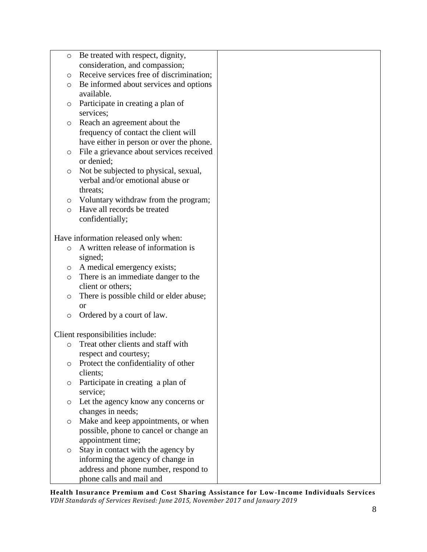| O       | Be treated with respect, dignity,             |  |
|---------|-----------------------------------------------|--|
|         | consideration, and compassion;                |  |
| $\circ$ | Receive services free of discrimination;      |  |
| O       | Be informed about services and options        |  |
|         | available.                                    |  |
| O       | Participate in creating a plan of             |  |
|         | services;                                     |  |
| O       | Reach an agreement about the                  |  |
|         | frequency of contact the client will          |  |
|         | have either in person or over the phone.      |  |
| O       | File a grievance about services received      |  |
|         | or denied;                                    |  |
| O       | Not be subjected to physical, sexual,         |  |
|         | verbal and/or emotional abuse or              |  |
|         | threats;                                      |  |
| $\circ$ | Voluntary withdraw from the program;          |  |
| $\circ$ | Have all records be treated                   |  |
|         | confidentially;                               |  |
|         |                                               |  |
|         | Have information released only when:          |  |
| $\circ$ | A written release of information is           |  |
|         | signed;                                       |  |
| $\circ$ | A medical emergency exists;                   |  |
| O       | There is an immediate danger to the           |  |
|         | client or others;                             |  |
| $\circ$ | There is possible child or elder abuse;       |  |
|         | <b>or</b>                                     |  |
| $\circ$ | Ordered by a court of law.                    |  |
|         |                                               |  |
|         | Client responsibilities include:              |  |
| $\circ$ | Treat other clients and staff with            |  |
|         | respect and courtesy;                         |  |
| O       | Protect the confidentiality of other          |  |
|         | clients;                                      |  |
| O       | Participate in creating a plan of<br>service; |  |
|         | Let the agency know any concerns or           |  |
| $\circ$ | changes in needs;                             |  |
| $\circ$ | Make and keep appointments, or when           |  |
|         | possible, phone to cancel or change an        |  |
|         | appointment time;                             |  |
| O       | Stay in contact with the agency by            |  |
|         | informing the agency of change in             |  |
|         | address and phone number, respond to          |  |
|         | phone calls and mail and                      |  |
|         |                                               |  |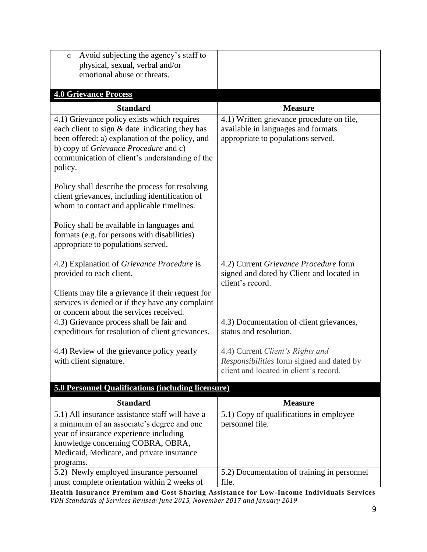| Avoid subjecting the agency's staff to<br>$\circ$                                                                                                                                                                                                             |                                                                                                                         |
|---------------------------------------------------------------------------------------------------------------------------------------------------------------------------------------------------------------------------------------------------------------|-------------------------------------------------------------------------------------------------------------------------|
| physical, sexual, verbal and/or                                                                                                                                                                                                                               |                                                                                                                         |
| emotional abuse or threats.                                                                                                                                                                                                                                   |                                                                                                                         |
| <b>4.0 Grievance Process</b>                                                                                                                                                                                                                                  |                                                                                                                         |
| <b>Standard</b>                                                                                                                                                                                                                                               | <b>Measure</b>                                                                                                          |
| 4.1) Grievance policy exists which requires<br>each client to sign & date indicating they has<br>been offered: a) explanation of the policy, and<br>b) copy of <i>Grievance Procedure</i> and c)<br>communication of client's understanding of the<br>policy. | 4.1) Written grievance procedure on file,<br>available in languages and formats<br>appropriate to populations served.   |
| Policy shall describe the process for resolving<br>client grievances, including identification of<br>whom to contact and applicable timelines.                                                                                                                |                                                                                                                         |
| Policy shall be available in languages and<br>formats (e.g. for persons with disabilities)<br>appropriate to populations served.                                                                                                                              |                                                                                                                         |
| 4.2) Explanation of Grievance Procedure is<br>provided to each client.                                                                                                                                                                                        | 4.2) Current Grievance Procedure form<br>signed and dated by Client and located in<br>client's record.                  |
| Clients may file a grievance if their request for<br>services is denied or if they have any complaint<br>or concern about the services received.                                                                                                              |                                                                                                                         |
| 4.3) Grievance process shall be fair and<br>expeditious for resolution of client grievances.                                                                                                                                                                  | 4.3) Documentation of client grievances,<br>status and resolution.                                                      |
| 4.4) Review of the grievance policy yearly<br>with client signature.                                                                                                                                                                                          | 4.4) Current Client's Rights and<br>Responsibilities form signed and dated by<br>client and located in client's record. |
| <b>5.0 Personnel Qualifications (including licensure)</b>                                                                                                                                                                                                     |                                                                                                                         |
| <b>Standard</b>                                                                                                                                                                                                                                               | <b>Measure</b>                                                                                                          |
| 5.1) All insurance assistance staff will have a<br>a minimum of an associate's degree and one<br>year of insurance experience including<br>knowledge concerning COBRA, OBRA,<br>Medicaid, Medicare, and private insurance<br>programs.                        | 5.1) Copy of qualifications in employee<br>personnel file.                                                              |
| 5.2) Newly employed insurance personnel<br>must complete orientation within 2 weeks of                                                                                                                                                                        | 5.2) Documentation of training in personnel<br>file.                                                                    |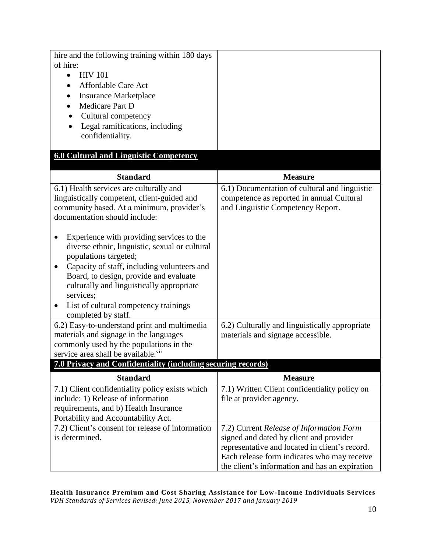| hire and the following training within 180 days<br>of hire:<br><b>HIV 101</b><br>$\bullet$<br><b>Affordable Care Act</b><br><b>Insurance Marketplace</b><br>Medicare Part D<br>Cultural competency<br>Legal ramifications, including<br>confidentiality.                                                                                                                                                                                                                                                                     |                                                                                                                                                                                                                                        |
|------------------------------------------------------------------------------------------------------------------------------------------------------------------------------------------------------------------------------------------------------------------------------------------------------------------------------------------------------------------------------------------------------------------------------------------------------------------------------------------------------------------------------|----------------------------------------------------------------------------------------------------------------------------------------------------------------------------------------------------------------------------------------|
| <b>6.0 Cultural and Linguistic Competency</b>                                                                                                                                                                                                                                                                                                                                                                                                                                                                                |                                                                                                                                                                                                                                        |
| <b>Standard</b>                                                                                                                                                                                                                                                                                                                                                                                                                                                                                                              | <b>Measure</b>                                                                                                                                                                                                                         |
| 6.1) Health services are culturally and<br>linguistically competent, client-guided and<br>community based. At a minimum, provider's<br>documentation should include:<br>Experience with providing services to the<br>diverse ethnic, linguistic, sexual or cultural<br>populations targeted;<br>Capacity of staff, including volunteers and<br>Board, to design, provide and evaluate<br>culturally and linguistically appropriate<br>services;<br>List of cultural competency trainings<br>$\bullet$<br>completed by staff. | 6.1) Documentation of cultural and linguistic<br>competence as reported in annual Cultural<br>and Linguistic Competency Report.                                                                                                        |
| 6.2) Easy-to-understand print and multimedia<br>materials and signage in the languages                                                                                                                                                                                                                                                                                                                                                                                                                                       | 6.2) Culturally and linguistically appropriate<br>materials and signage accessible.                                                                                                                                                    |
| commonly used by the populations in the<br>service area shall be available. <sup>vii</sup>                                                                                                                                                                                                                                                                                                                                                                                                                                   |                                                                                                                                                                                                                                        |
| <b>7.0 Privacy and Confidentiality (including securing records)</b>                                                                                                                                                                                                                                                                                                                                                                                                                                                          |                                                                                                                                                                                                                                        |
| <b>Standard</b>                                                                                                                                                                                                                                                                                                                                                                                                                                                                                                              | <b>Measure</b>                                                                                                                                                                                                                         |
| 7.1) Client confidentiality policy exists which<br>include: 1) Release of information<br>requirements, and b) Health Insurance<br>Portability and Accountability Act.                                                                                                                                                                                                                                                                                                                                                        | 7.1) Written Client confidentiality policy on<br>file at provider agency.                                                                                                                                                              |
| 7.2) Client's consent for release of information<br>is determined.                                                                                                                                                                                                                                                                                                                                                                                                                                                           | 7.2) Current Release of Information Form<br>signed and dated by client and provider<br>representative and located in client's record.<br>Each release form indicates who may receive<br>the client's information and has an expiration |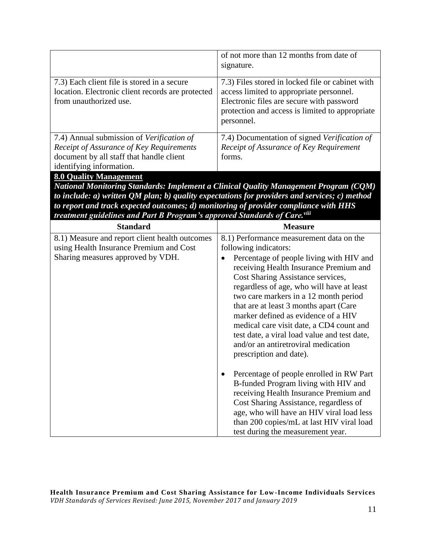|                                                                                                                            | of not more than 12 months from date of<br>signature.                                                                                                                                                      |
|----------------------------------------------------------------------------------------------------------------------------|------------------------------------------------------------------------------------------------------------------------------------------------------------------------------------------------------------|
| 7.3) Each client file is stored in a secure<br>location. Electronic client records are protected<br>from unauthorized use. | 7.3) Files stored in locked file or cabinet with<br>access limited to appropriate personnel.<br>Electronic files are secure with password<br>protection and access is limited to appropriate<br>personnel. |
| 7.4) Annual submission of Verification of                                                                                  | 7.4) Documentation of signed Verification of                                                                                                                                                               |
| Receipt of Assurance of Key Requirements                                                                                   | Receipt of Assurance of Key Requirement                                                                                                                                                                    |
| document by all staff that handle client                                                                                   | forms.                                                                                                                                                                                                     |
| identifying information.                                                                                                   |                                                                                                                                                                                                            |
| 8.0 Quality Management                                                                                                     |                                                                                                                                                                                                            |

*National Monitoring Standards: Implement a Clinical Quality Management Program (CQM) to include: a) written QM plan; b) quality expectations for providers and services; c) method to report and track expected outcomes; d) monitoring of provider compliance with HHS treatment guidelines and Part B Program's approved Standards of Care.viii*

| <b>Standard</b>                                                                                                                | <b>Measure</b>                                                                                                                                                                                                                                                                                                                                                      |
|--------------------------------------------------------------------------------------------------------------------------------|---------------------------------------------------------------------------------------------------------------------------------------------------------------------------------------------------------------------------------------------------------------------------------------------------------------------------------------------------------------------|
| 8.1) Measure and report client health outcomes<br>using Health Insurance Premium and Cost<br>Sharing measures approved by VDH. | 8.1) Performance measurement data on the<br>following indicators:<br>Percentage of people living with HIV and<br>receiving Health Insurance Premium and<br>Cost Sharing Assistance services,<br>regardless of age, who will have at least<br>two care markers in a 12 month period<br>that are at least 3 months apart (Care<br>marker defined as evidence of a HIV |
|                                                                                                                                | medical care visit date, a CD4 count and<br>test date, a viral load value and test date,<br>and/or an antiretroviral medication<br>prescription and date).                                                                                                                                                                                                          |
|                                                                                                                                | Percentage of people enrolled in RW Part<br>B-funded Program living with HIV and<br>receiving Health Insurance Premium and<br>Cost Sharing Assistance, regardless of<br>age, who will have an HIV viral load less<br>than 200 copies/mL at last HIV viral load<br>test during the measurement year.                                                                 |